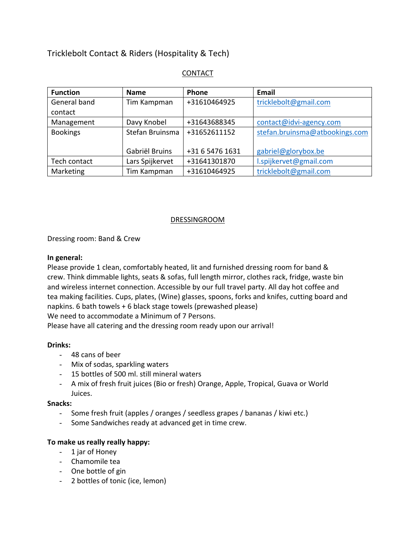# Tricklebolt Contact & Riders (Hospitality & Tech)

| <b>Function</b> | <b>Name</b>     | <b>Phone</b>    | <b>Email</b>                   |  |
|-----------------|-----------------|-----------------|--------------------------------|--|
| General band    | Tim Kampman     | +31610464925    | tricklebolt@gmail.com          |  |
| contact         |                 |                 |                                |  |
| Management      | Davy Knobel     | +31643688345    | contact@idvi-agency.com        |  |
| <b>Bookings</b> | Stefan Bruinsma | +31652611152    | stefan.bruinsma@atbookings.com |  |
|                 |                 |                 |                                |  |
|                 | Gabriël Bruins  | +31 6 5476 1631 | gabriel@glorybox.be            |  |
| Tech contact    | Lars Spijkervet | +31641301870    | l.spijkervet@gmail.com         |  |
| Marketing       | Tim Kampman     | +31610464925    | tricklebolt@gmail.com          |  |

# CONTACT

# DRESSINGROOM

Dressing room: Band & Crew

#### **In general:**

Please provide 1 clean, comfortably heated, lit and furnished dressing room for band & crew. Think dimmable lights, seats & sofas, full length mirror, clothes rack, fridge, waste bin and wireless internet connection. Accessible by our full travel party. All day hot coffee and tea making facilities. Cups, plates, (Wine) glasses, spoons, forks and knifes, cutting board and napkins. 6 bath towels + 6 black stage towels (prewashed please)

We need to accommodate a Minimum of 7 Persons.

Please have all catering and the dressing room ready upon our arrival!

#### **Drinks:**

- 48 cans of beer
- Mix of sodas, sparkling waters
- 15 bottles of 500 ml. still mineral waters
- A mix of fresh fruit juices (Bio or fresh) Orange, Apple, Tropical, Guava or World Juices.

#### **Snacks:**

- Some fresh fruit (apples / oranges / seedless grapes / bananas / kiwi etc.)
- Some Sandwiches ready at advanced get in time crew.

#### **To make us really really happy:**

- 1 jar of Honey
- Chamomile tea
- One bottle of gin
- 2 bottles of tonic (ice, lemon)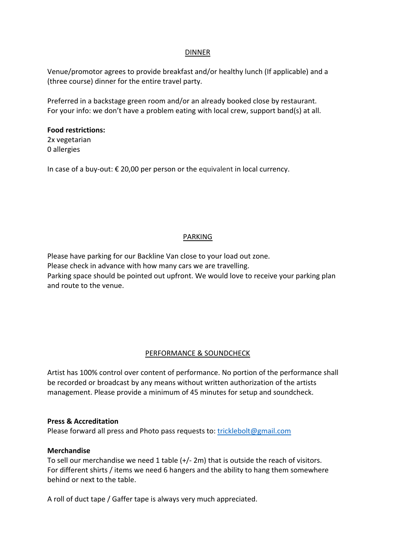# DINNER

Venue/promotor agrees to provide breakfast and/or healthy lunch (If applicable) and a (three course) dinner for the entire travel party.

Preferred in a backstage green room and/or an already booked close by restaurant. For your info: we don't have a problem eating with local crew, support band(s) at all.

# **Food restrictions:**

2x vegetarian 0 allergies

In case of a buy-out: € 20,00 per person or the equivalent in local currency.

# PARKING

Please have parking for our Backline Van close to your load out zone. Please check in advance with how many cars we are travelling. Parking space should be pointed out upfront. We would love to receive your parking plan and route to the venue.

#### PERFORMANCE & SOUNDCHECK

Artist has 100% control over content of performance. No portion of the performance shall be recorded or broadcast by any means without written authorization of the artists management. Please provide a minimum of 45 minutes for setup and soundcheck.

#### **Press & Accreditation**

Please forward all press and Photo pass requests to: tricklebolt@gmail.com

#### **Merchandise**

To sell our merchandise we need 1 table (+/- 2m) that is outside the reach of visitors. For different shirts / items we need 6 hangers and the ability to hang them somewhere behind or next to the table.

A roll of duct tape / Gaffer tape is always very much appreciated.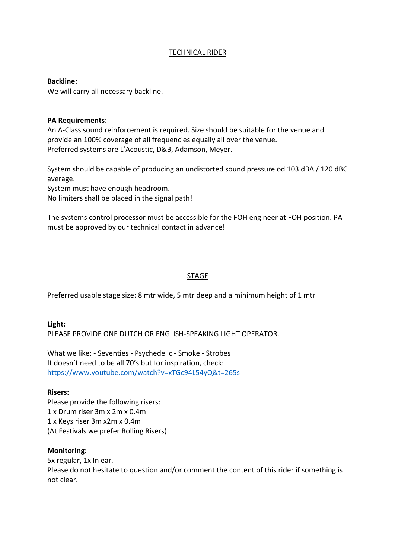# TECHNICAL RIDER

**Backline:**

We will carry all necessary backline.

#### **PA Requirements**:

An A-Class sound reinforcement is required. Size should be suitable for the venue and provide an 100% coverage of all frequencies equally all over the venue. Preferred systems are L'Acoustic, D&B, Adamson, Meyer.

System should be capable of producing an undistorted sound pressure od 103 dBA / 120 dBC average.

System must have enough headroom.

No limiters shall be placed in the signal path!

The systems control processor must be accessible for the FOH engineer at FOH position. PA must be approved by our technical contact in advance!

#### STAGE

Preferred usable stage size: 8 mtr wide, 5 mtr deep and a minimum height of 1 mtr

**Light:** PLEASE PROVIDE ONE DUTCH OR ENGLISH-SPEAKING LIGHT OPERATOR.

What we like: - Seventies - Psychedelic - Smoke - Strobes It doesn't need to be all 70's but for inspiration, check: https://www.youtube.com/watch?v=xTGc94L54yQ&t=265s

#### **Risers:**

Please provide the following risers: 1 x Drum riser 3m x 2m x 0.4m 1 x Keys riser 3m x2m x 0.4m (At Festivals we prefer Rolling Risers)

#### **Monitoring:**

5x regular, 1x In ear. Please do not hesitate to question and/or comment the content of this rider if something is not clear.